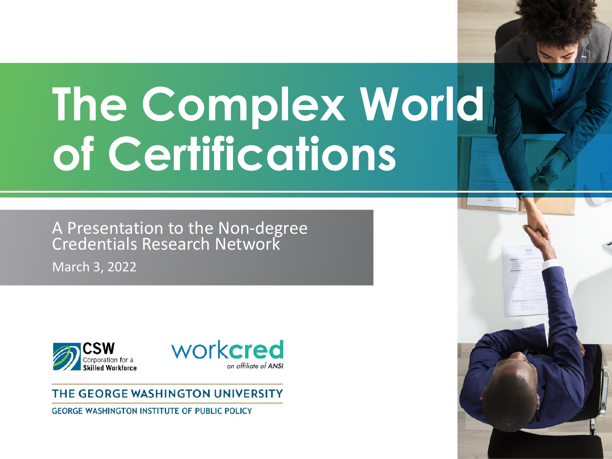# **The Complex World of Certifications**

A Presentation to the Non-degree Credentials Research Network

March 3, 2022





#### THE GEORGE WASHINGTON UNIVERSITY

**GEORGE WASHINGTON INSTITUTE OF PUBLIC POLICY** 

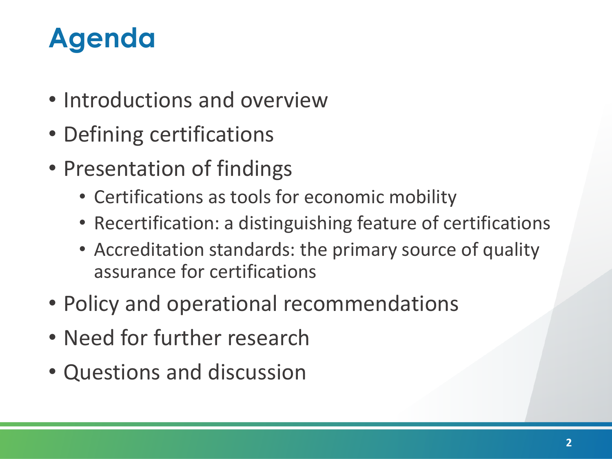# **Agenda**

- Introductions and overview
- Defining certifications
- Presentation of findings
	- Certifications as tools for economic mobility
	- Recertification: a distinguishing feature of certifications
	- Accreditation standards: the primary source of quality assurance for certifications
- Policy and operational recommendations
- Need for further research
- Questions and discussion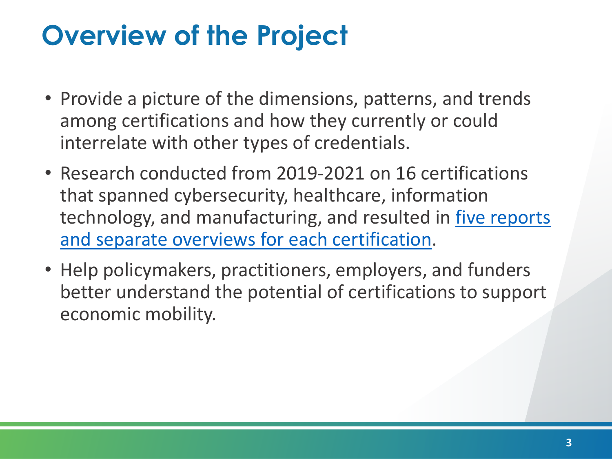# **Overview of the Project**

- Provide a picture of the dimensions, patterns, and trends among certifications and how they currently or could interrelate with other types of credentials.
- Research conducted from 2019-2021 on 16 certifications that spanned cybersecurity, healthcare, information [technology, and manufacturing, and resulted in five reports](https://www.workcred.org/Our-Work/Certifications-as-a-Vehicle-for-Increasing-Labor-Market-Mobility.aspx)  and separate overviews for each certification.
- Help policymakers, practitioners, employers, and funders better understand the potential of certifications to support economic mobility.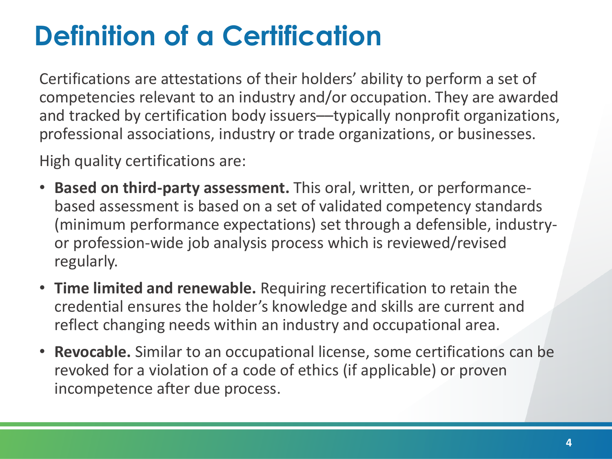# **Definition of a Certification**

Certifications are attestations of their holders' ability to perform a set of competencies relevant to an industry and/or occupation. They are awarded and tracked by certification body issuers—typically nonprofit organizations, professional associations, industry or trade organizations, or businesses.

High quality certifications are:

- **Based on third-party assessment.** This oral, written, or performancebased assessment is based on a set of validated competency standards (minimum performance expectations) set through a defensible, industryor profession-wide job analysis process which is reviewed/revised regularly.
- **Time limited and renewable.** Requiring recertification to retain the credential ensures the holder's knowledge and skills are current and reflect changing needs within an industry and occupational area.
- **Revocable.** Similar to an occupational license, some certifications can be revoked for a violation of a code of ethics (if applicable) or proven incompetence after due process.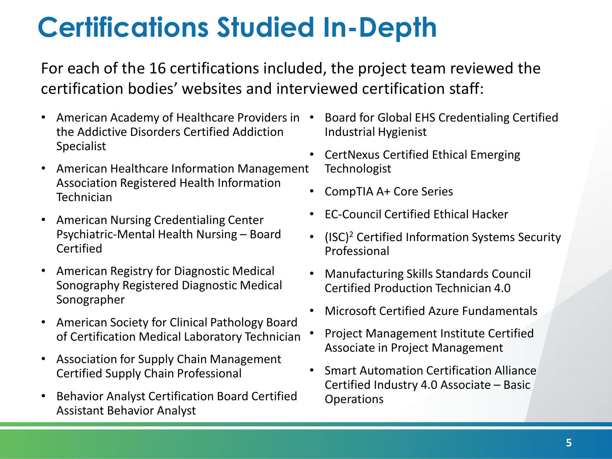# **Certifications Studied In-Depth**

For each of the 16 certifications included, the project team reviewed the certification bodies' websites and interviewed certification staff:

- American Academy of Healthcare Providers in the Addictive Disorders Certified Addiction Specialist
- American Healthcare Information Management Association Registered Health Information **Technician**
- American Nursing Credentialing Center Psychiatric-Mental Health Nursing – Board Certified
- American Registry for Diagnostic Medical Sonography Registered Diagnostic Medical Sonographer
- American Society for Clinical Pathology Board of Certification Medical Laboratory Technician
- Association for Supply Chain Management Certified Supply Chain Professional
- Behavior Analyst Certification Board Certified Assistant Behavior Analyst
- Board for Global EHS Credentialing Certified Industrial Hygienist
- CertNexus Certified Ethical Emerging **Technologist**
- CompTIA A+ Core Series
- EC-Council Certified Ethical Hacker
- (ISC)<sup>2</sup> Certified Information Systems Security Professional
- Manufacturing Skills Standards Council Certified Production Technician 4.0
- Microsoft Certified Azure Fundamentals
- Project Management Institute Certified Associate in Project Management
- Smart Automation Certification Alliance Certified Industry 4.0 Associate – Basic **Operations**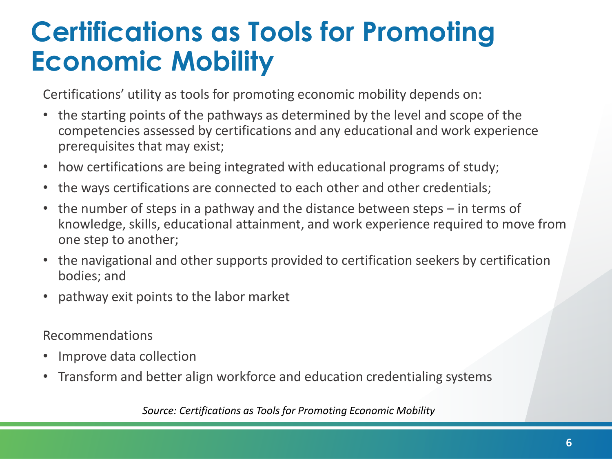### **Certifications as Tools for Promoting Economic Mobility**

Certifications' utility as tools for promoting economic mobility depends on:

- the starting points of the pathways as determined by the level and scope of the competencies assessed by certifications and any educational and work experience prerequisites that may exist;
- how certifications are being integrated with educational programs of study;
- the ways certifications are connected to each other and other credentials;
- the number of steps in a pathway and the distance between steps in terms of knowledge, skills, educational attainment, and work experience required to move from one step to another;
- the navigational and other supports provided to certification seekers by certification bodies; and
- pathway exit points to the labor market

Recommendations

- Improve data collection
- Transform and better align workforce and education credentialing systems

*Source: Certifications as Tools for Promoting Economic Mobility*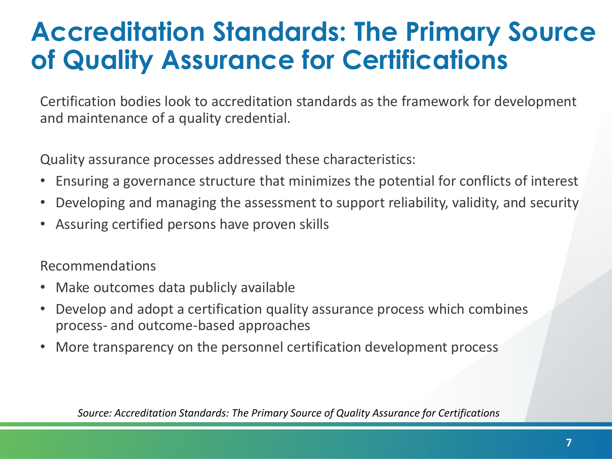#### **Accreditation Standards: The Primary Source of Quality Assurance for Certifications**

Certification bodies look to accreditation standards as the framework for development and maintenance of a quality credential.

Quality assurance processes addressed these characteristics:

- Ensuring a governance structure that minimizes the potential for conflicts of interest
- Developing and managing the assessment to support reliability, validity, and security
- Assuring certified persons have proven skills

Recommendations

- Make outcomes data publicly available
- Develop and adopt a certification quality assurance process which combines process- and outcome-based approaches
- More transparency on the personnel certification development process

*Source: Accreditation Standards: The Primary Source of Quality Assurance for Certifications*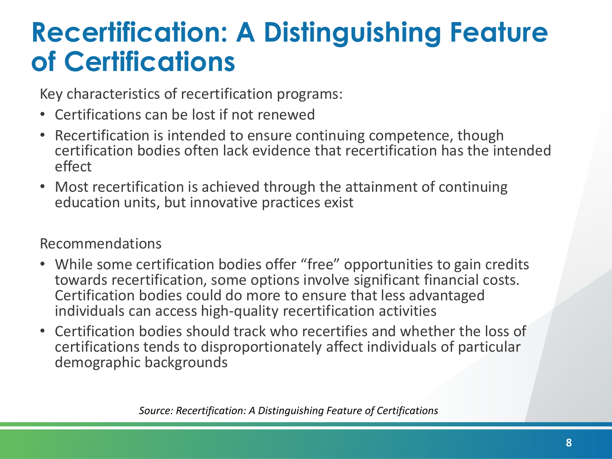### **Recertification: A Distinguishing Feature of Certifications**

Key characteristics of recertification programs:

- Certifications can be lost if not renewed
- Recertification is intended to ensure continuing competence, though certification bodies often lack evidence that recertification has the intended effect
- Most recertification is achieved through the attainment of continuing education units, but innovative practices exist

#### Recommendations

- While some certification bodies offer "free" opportunities to gain credits towards recertification, some options involve significant financial costs. Certification bodies could do more to ensure that less advantaged individuals can access high-quality recertification activities
- Certification bodies should track who recertifies and whether the loss of certifications tends to disproportionately affect individuals of particular demographic backgrounds

*Source: Recertification: A Distinguishing Feature of Certifications*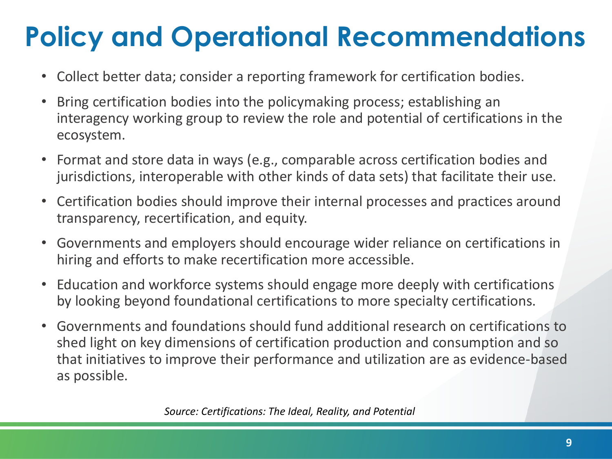# **Policy and Operational Recommendations**

- Collect better data; consider a reporting framework for certification bodies.
- Bring certification bodies into the policymaking process; establishing an interagency working group to review the role and potential of certifications in the ecosystem.
- Format and store data in ways (e.g., comparable across certification bodies and jurisdictions, interoperable with other kinds of data sets) that facilitate their use.
- Certification bodies should improve their internal processes and practices around transparency, recertification, and equity.
- Governments and employers should encourage wider reliance on certifications in hiring and efforts to make recertification more accessible.
- Education and workforce systems should engage more deeply with certifications by looking beyond foundational certifications to more specialty certifications.
- Governments and foundations should fund additional research on certifications to shed light on key dimensions of certification production and consumption and so that initiatives to improve their performance and utilization are as evidence-based as possible.

*Source: Certifications: The Ideal, Reality, and Potential*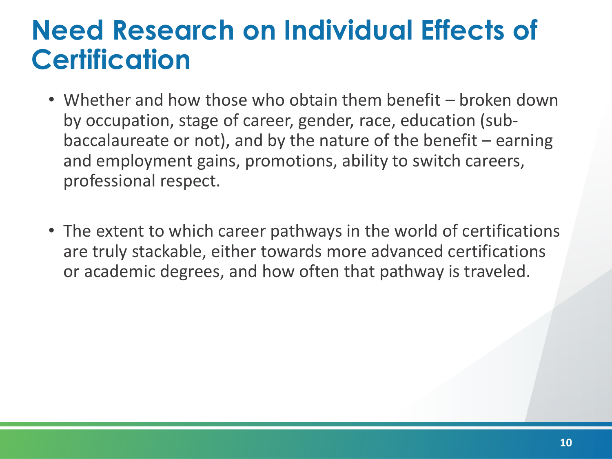#### **Need Research on Individual Effects of Certification**

- Whether and how those who obtain them benefit broken down by occupation, stage of career, gender, race, education (subbaccalaureate or not), and by the nature of the benefit  $-$  earning and employment gains, promotions, ability to switch careers, professional respect.
- The extent to which career pathways in the world of certifications are truly stackable, either towards more advanced certifications or academic degrees, and how often that pathway is traveled.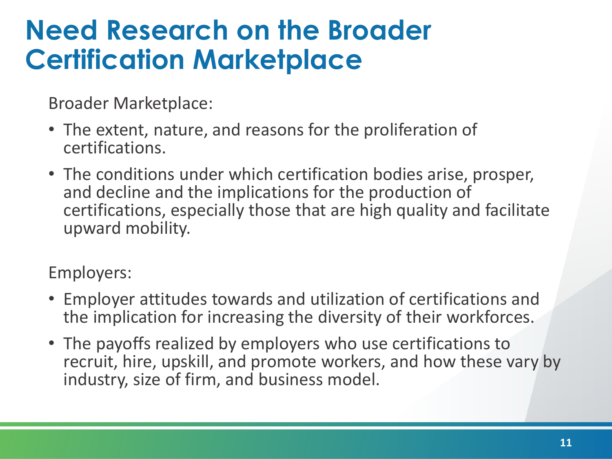### **Need Research on the Broader Certification Marketplace**

Broader Marketplace:

- The extent, nature, and reasons for the proliferation of certifications.
- The conditions under which certification bodies arise, prosper, and decline and the implications for the production of certifications, especially those that are high quality and facilitate upward mobility.

Employers:

- Employer attitudes towards and utilization of certifications and the implication for increasing the diversity of their workforces.
- The payoffs realized by employers who use certifications to recruit, hire, upskill, and promote workers, and how these vary by industry, size of firm, and business model.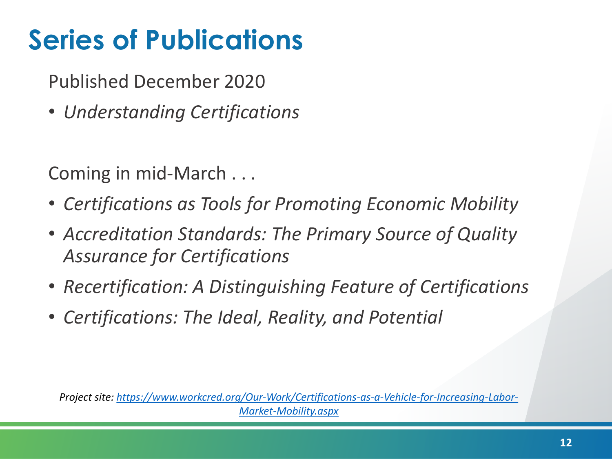# **Series of Publications**

Published December 2020

• *Understanding Certifications*

Coming in mid-March . . .

- *Certifications as Tools for Promoting Economic Mobility*
- *Accreditation Standards: The Primary Source of Quality Assurance for Certifications*
- *Recertification: A Distinguishing Feature of Certifications*
- *Certifications: The Ideal, Reality, and Potential*

*Project site: [https://www.workcred.org/Our-Work/Certifications-as-a-Vehicle-for-Increasing-Labor-](https://www.workcred.org/Our-Work/Certifications-as-a-Vehicle-for-Increasing-Labor-Market-Mobility.aspx)Market-Mobility.aspx*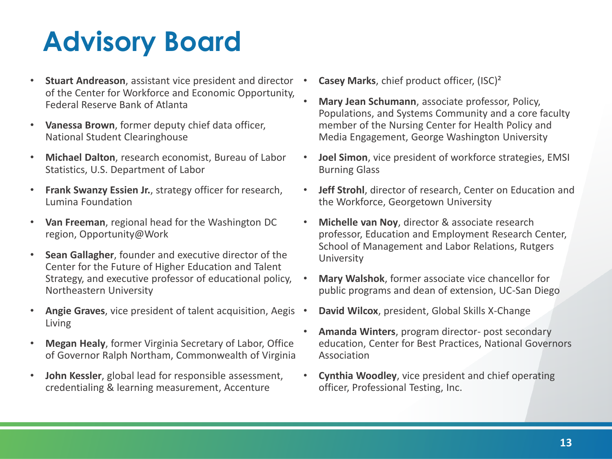# **Advisory Board**

- **Stuart Andreason**, assistant vice president and director of the Center for Workforce and Economic Opportunity, Federal Reserve Bank of Atlanta
- **Vanessa Brown**, former deputy chief data officer, National Student Clearinghouse
- **Michael Dalton**, research economist, Bureau of Labor Statistics, U.S. Department of Labor
- **Frank Swanzy Essien Jr.**, strategy officer for research, Lumina Foundation
- **Van Freeman**, regional head for the Washington DC region, Opportunity@Work
- **Sean Gallagher**, founder and executive director of the Center for the Future of Higher Education and Talent Strategy, and executive professor of educational policy, Northeastern University
- **Angie Graves**, vice president of talent acquisition, Aegis Living
- **Megan Healy**, former Virginia Secretary of Labor, Office of Governor Ralph Northam, Commonwealth of Virginia
- **John Kessler**, global lead for responsible assessment, credentialing & learning measurement, Accenture
- **Casey Marks**, chief product officer, (ISC)²
- **Mary Jean Schumann**, associate professor, Policy, Populations, and Systems Community and a core faculty member of the Nursing Center for Health Policy and Media Engagement, George Washington University
- **Joel Simon**, vice president of workforce strategies, EMSI Burning Glass
- **Jeff Strohl**, director of research, Center on Education and the Workforce, Georgetown University
- **Michelle van Noy**, director & associate research professor, Education and Employment Research Center, School of Management and Labor Relations, Rutgers University
- **Mary Walshok**, former associate vice chancellor for public programs and dean of extension, UC-San Diego
- **David Wilcox**, president, Global Skills X-Change
- **Amanda Winters**, program director- post secondary education, Center for Best Practices, National Governors Association
- **Cynthia Woodley**, vice president and chief operating officer, Professional Testing, Inc.